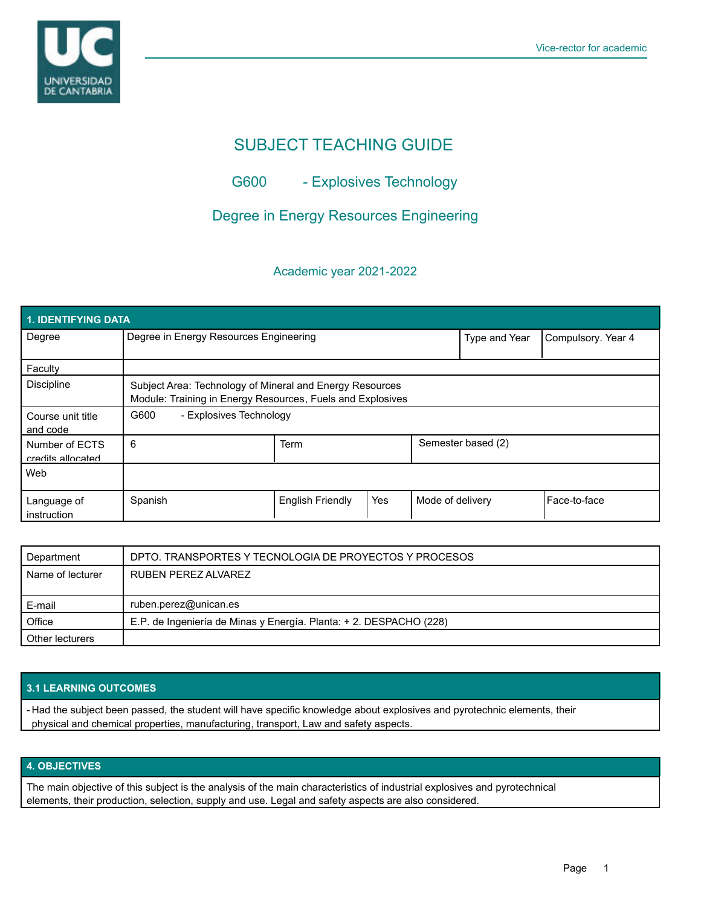

# SUBJECT TEACHING GUIDE

G600 - Explosives Technology

# Degree in Energy Resources Engineering

# Academic year 2021-2022

| <b>1. IDENTIFYING DATA</b>          |                                                                                                                        |                         |     |                    |                    |              |  |  |  |
|-------------------------------------|------------------------------------------------------------------------------------------------------------------------|-------------------------|-----|--------------------|--------------------|--------------|--|--|--|
| Degree                              | Degree in Energy Resources Engineering                                                                                 |                         |     | Type and Year      | Compulsory. Year 4 |              |  |  |  |
| Faculty                             |                                                                                                                        |                         |     |                    |                    |              |  |  |  |
| <b>Discipline</b>                   | Subject Area: Technology of Mineral and Energy Resources<br>Module: Training in Energy Resources, Fuels and Explosives |                         |     |                    |                    |              |  |  |  |
| Course unit title<br>and code       | G600<br>- Explosives Technology                                                                                        |                         |     |                    |                    |              |  |  |  |
| Number of ECTS<br>credits allocated | 6                                                                                                                      | Term                    |     | Semester based (2) |                    |              |  |  |  |
| Web                                 |                                                                                                                        |                         |     |                    |                    |              |  |  |  |
| Language of<br>instruction          | Spanish                                                                                                                | <b>English Friendly</b> | Yes | Mode of delivery   |                    | Face-to-face |  |  |  |

| Department       | DPTO. TRANSPORTES Y TECNOLOGIA DE PROYECTOS Y PROCESOS             |  |
|------------------|--------------------------------------------------------------------|--|
| Name of lecturer | RUBEN PEREZ ALVAREZ                                                |  |
|                  |                                                                    |  |
| E-mail           | ruben.perez@unican.es                                              |  |
| Office           | E.P. de Ingeniería de Minas y Energía. Planta: + 2. DESPACHO (228) |  |
| Other lecturers  |                                                                    |  |

#### **3.1 LEARNING OUTCOMES**

- Had the subject been passed, the student will have specific knowledge about explosives and pyrotechnic elements, their physical and chemical properties, manufacturing, transport, Law and safety aspects.

## **4. OBJECTIVES**

The main objective of this subject is the analysis of the main characteristics of industrial explosives and pyrotechnical elements, their production, selection, supply and use. Legal and safety aspects are also considered.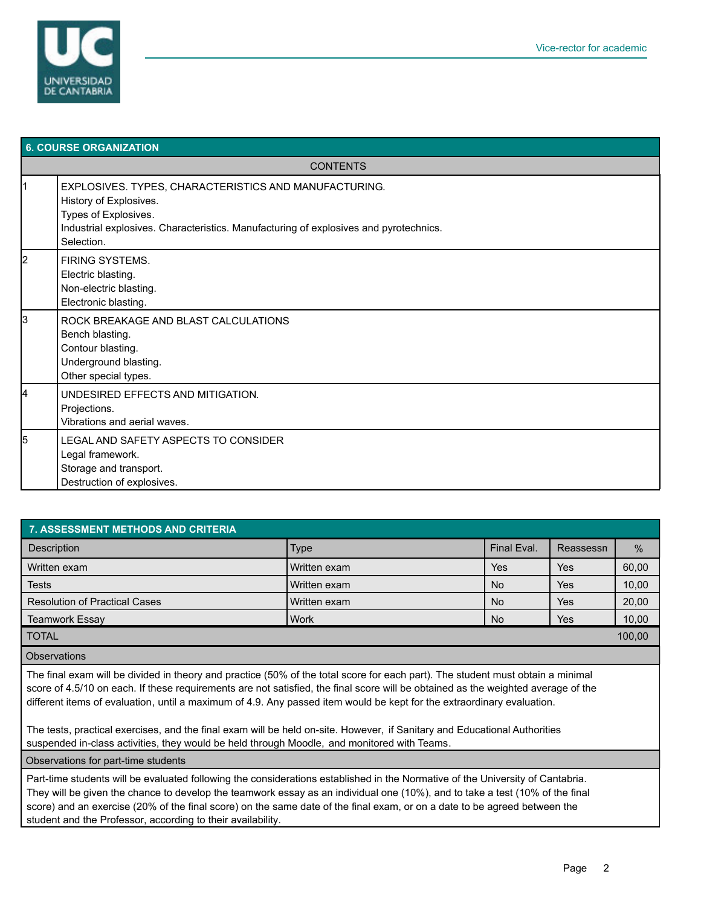

| <b>6. COURSE ORGANIZATION</b> |                                                                                                                                                                                                                |  |  |  |
|-------------------------------|----------------------------------------------------------------------------------------------------------------------------------------------------------------------------------------------------------------|--|--|--|
| <b>CONTENTS</b>               |                                                                                                                                                                                                                |  |  |  |
| $\vert$ 1                     | EXPLOSIVES. TYPES, CHARACTERISTICS AND MANUFACTURING.<br>History of Explosives.<br>Types of Explosives.<br>Industrial explosives. Characteristics. Manufacturing of explosives and pyrotechnics.<br>Selection. |  |  |  |
| 2                             | <b>FIRING SYSTEMS.</b><br>Electric blasting.<br>Non-electric blasting.<br>Electronic blasting.                                                                                                                 |  |  |  |
| 3                             | ROCK BREAKAGE AND BLAST CALCULATIONS<br>Bench blasting.<br>Contour blasting.<br>Underground blasting.<br>Other special types.                                                                                  |  |  |  |
| 4                             | UNDESIRED EFFECTS AND MITIGATION.<br>Projections.<br>Vibrations and aerial waves.                                                                                                                              |  |  |  |
| 5                             | LEGAL AND SAFETY ASPECTS TO CONSIDER<br>Legal framework.<br>Storage and transport.<br>Destruction of explosives.                                                                                               |  |  |  |

| <b>7. ASSESSMENT METHODS AND CRITERIA</b> |              |             |           |               |  |  |  |  |  |
|-------------------------------------------|--------------|-------------|-----------|---------------|--|--|--|--|--|
| <b>Description</b>                        | <b>Type</b>  | Final Eval. | Reassessn | $\frac{9}{6}$ |  |  |  |  |  |
| Written exam                              | Written exam | Yes         | Yes       | 60,00         |  |  |  |  |  |
| <b>Tests</b>                              | Written exam | <b>No</b>   | Yes       | 10,00         |  |  |  |  |  |
| <b>Resolution of Practical Cases</b>      | Written exam | <b>No</b>   | Yes       | 20,00         |  |  |  |  |  |
| <b>Teamwork Essay</b>                     | <b>Work</b>  | <b>No</b>   | Yes       | 10,00         |  |  |  |  |  |
| <b>TOTAL</b>                              |              |             |           | 100,00        |  |  |  |  |  |
| <b>Observations</b>                       |              |             |           |               |  |  |  |  |  |

The final exam will be divided in theory and practice (50% of the total score for each part). The student must obtain a minimal score of 4.5/10 on each. If these requirements are not satisfied, the final score will be obtained as the weighted average of the different items of evaluation, until a maximum of 4.9. Any passed item would be kept for the extraordinary evaluation.

The tests, practical exercises, and the final exam will be held on-site. However, if Sanitary and Educational Authorities suspended in-class activities, they would be held through Moodle, and monitored with Teams.

Observations for part-time students

Part-time students will be evaluated following the considerations established in the Normative of the University of Cantabria. They will be given the chance to develop the teamwork essay as an individual one (10%), and to take a test (10% of the final score) and an exercise (20% of the final score) on the same date of the final exam, or on a date to be agreed between the student and the Professor, according to their availability.